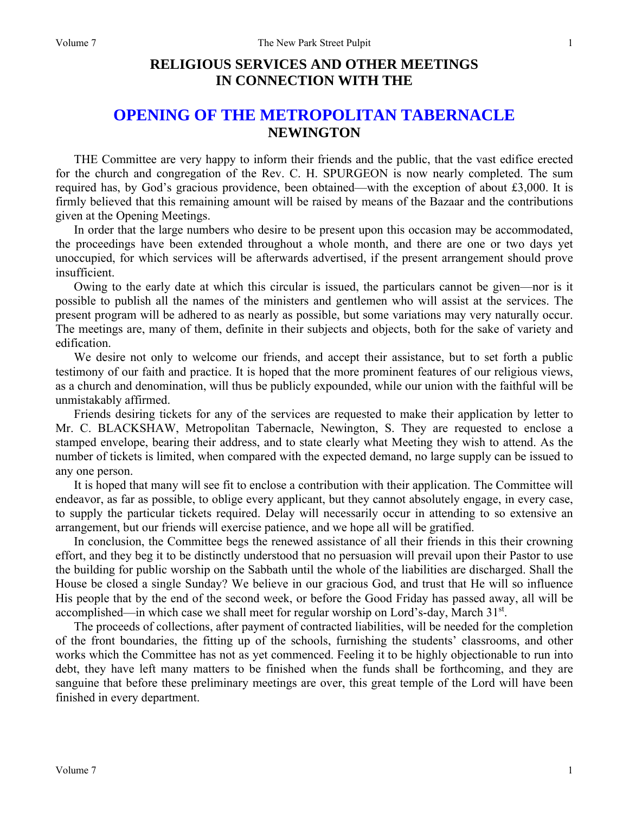# **RELIGIOUS SERVICES AND OTHER MEETINGS IN CONNECTION WITH THE**

## **OPENING OF THE METROPOLITAN TABERNACLE NEWINGTON**

THE Committee are very happy to inform their friends and the public, that the vast edifice erected for the church and congregation of the Rev. C. H. SPURGEON is now nearly completed. The sum required has, by God's gracious providence, been obtained—with the exception of about £3,000. It is firmly believed that this remaining amount will be raised by means of the Bazaar and the contributions given at the Opening Meetings.

In order that the large numbers who desire to be present upon this occasion may be accommodated, the proceedings have been extended throughout a whole month, and there are one or two days yet unoccupied, for which services will be afterwards advertised, if the present arrangement should prove insufficient.

Owing to the early date at which this circular is issued, the particulars cannot be given—nor is it possible to publish all the names of the ministers and gentlemen who will assist at the services. The present program will be adhered to as nearly as possible, but some variations may very naturally occur. The meetings are, many of them, definite in their subjects and objects, both for the sake of variety and edification.

We desire not only to welcome our friends, and accept their assistance, but to set forth a public testimony of our faith and practice. It is hoped that the more prominent features of our religious views, as a church and denomination, will thus be publicly expounded, while our union with the faithful will be unmistakably affirmed.

Friends desiring tickets for any of the services are requested to make their application by letter to Mr. C. BLACKSHAW, Metropolitan Tabernacle, Newington, S. They are requested to enclose a stamped envelope, bearing their address, and to state clearly what Meeting they wish to attend. As the number of tickets is limited, when compared with the expected demand, no large supply can be issued to any one person.

It is hoped that many will see fit to enclose a contribution with their application. The Committee will endeavor, as far as possible, to oblige every applicant, but they cannot absolutely engage, in every case, to supply the particular tickets required. Delay will necessarily occur in attending to so extensive an arrangement, but our friends will exercise patience, and we hope all will be gratified.

In conclusion, the Committee begs the renewed assistance of all their friends in this their crowning effort, and they beg it to be distinctly understood that no persuasion will prevail upon their Pastor to use the building for public worship on the Sabbath until the whole of the liabilities are discharged. Shall the House be closed a single Sunday? We believe in our gracious God, and trust that He will so influence His people that by the end of the second week, or before the Good Friday has passed away, all will be accomplished—in which case we shall meet for regular worship on Lord's-day, March 31<sup>st</sup>.

The proceeds of collections, after payment of contracted liabilities, will be needed for the completion of the front boundaries, the fitting up of the schools, furnishing the students' classrooms, and other works which the Committee has not as yet commenced. Feeling it to be highly objectionable to run into debt, they have left many matters to be finished when the funds shall be forthcoming, and they are sanguine that before these preliminary meetings are over, this great temple of the Lord will have been finished in every department.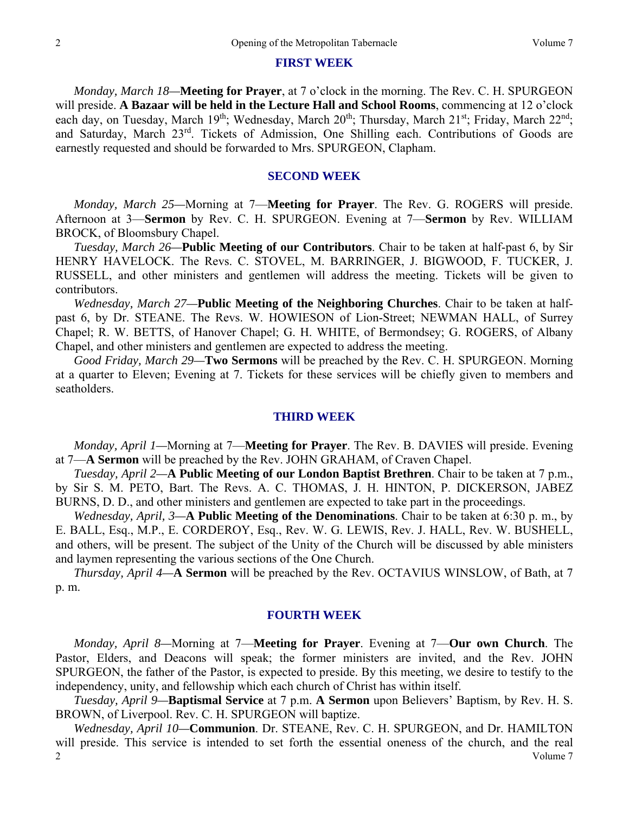### **FIRST WEEK**

*Monday, March 18—***Meeting for Prayer**, at 7 o'clock in the morning. The Rev. C. H. SPURGEON will preside. **A Bazaar will be held in the Lecture Hall and School Rooms**, commencing at 12 o'clock each day, on Tuesday, March 19<sup>th</sup>; Wednesday, March 20<sup>th</sup>; Thursday, March 21<sup>st</sup>; Friday, March 22<sup>nd</sup>; and Saturday, March 23rd. Tickets of Admission, One Shilling each. Contributions of Goods are earnestly requested and should be forwarded to Mrs. SPURGEON, Clapham.

## **SECOND WEEK**

*Monday, March 25—*Morning at 7—**Meeting for Prayer**. The Rev. G. ROGERS will preside. Afternoon at 3—**Sermon** by Rev. C. H. SPURGEON. Evening at 7—**Sermon** by Rev. WILLIAM BROCK, of Bloomsbury Chapel.

*Tuesday, March 26—***Public Meeting of our Contributors**. Chair to be taken at half-past 6, by Sir HENRY HAVELOCK. The Revs. C. STOVEL, M. BARRINGER, J. BIGWOOD, F. TUCKER, J. RUSSELL, and other ministers and gentlemen will address the meeting. Tickets will be given to contributors.

*Wednesday, March 27—***Public Meeting of the Neighboring Churches**. Chair to be taken at halfpast 6, by Dr. STEANE. The Revs. W. HOWIESON of Lion-Street; NEWMAN HALL, of Surrey Chapel; R. W. BETTS, of Hanover Chapel; G. H. WHITE, of Bermondsey; G. ROGERS, of Albany Chapel, and other ministers and gentlemen are expected to address the meeting.

*Good Friday, March 29—***Two Sermons** will be preached by the Rev. C. H. SPURGEON. Morning at a quarter to Eleven; Evening at 7. Tickets for these services will be chiefly given to members and seatholders.

### **THIRD WEEK**

*Monday, April 1—*Morning at 7—**Meeting for Prayer**. The Rev. B. DAVIES will preside. Evening at 7—**A Sermon** will be preached by the Rev. JOHN GRAHAM, of Craven Chapel.

*Tuesday, April 2—***A Public Meeting of our London Baptist Brethren**. Chair to be taken at 7 p.m., by Sir S. M. PETO, Bart. The Revs. A. C. THOMAS, J. H. HINTON, P. DICKERSON, JABEZ BURNS, D. D., and other ministers and gentlemen are expected to take part in the proceedings.

*Wednesday, April, 3—***A Public Meeting of the Denominations**. Chair to be taken at 6:30 p. m., by E. BALL, Esq., M.P., E. CORDEROY, Esq., Rev. W. G. LEWIS, Rev. J. HALL, Rev. W. BUSHELL, and others, will be present. The subject of the Unity of the Church will be discussed by able ministers and laymen representing the various sections of the One Church.

*Thursday, April 4—***A Sermon** will be preached by the Rev. OCTAVIUS WINSLOW, of Bath, at 7 p. m.

### **FOURTH WEEK**

*Monday, April 8—*Morning at 7—**Meeting for Prayer**. Evening at 7—**Our own Church**. The Pastor, Elders, and Deacons will speak; the former ministers are invited, and the Rev. JOHN SPURGEON, the father of the Pastor, is expected to preside. By this meeting, we desire to testify to the independency, unity, and fellowship which each church of Christ has within itself.

*Tuesday, April 9—***Baptismal Service** at 7 p.m. **A Sermon** upon Believers' Baptism, by Rev. H. S. BROWN, of Liverpool. Rev. C. H. SPURGEON will baptize.

 Volume 7 2 *Wednesday, April 10—***Communion**. Dr. STEANE, Rev. C. H. SPURGEON, and Dr. HAMILTON will preside. This service is intended to set forth the essential oneness of the church, and the real